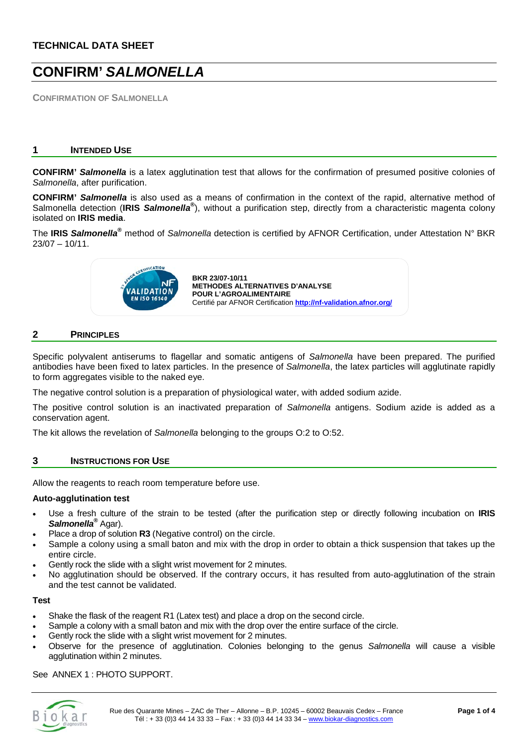# **CONFIRM'** *SALMONELLA*

**CONFIRMATION OF SALMONELLA** 

#### **1 INTENDED USE**

**CONFIRM'** *Salmonella* is a latex agglutination test that allows for the confirmation of presumed positive colonies of *Salmonella*, after purification.

**CONFIRM'** *Salmonella* is also used as a means of confirmation in the context of the rapid, alternative method of Salmonella detection (**IRIS** *Salmonella***®** ), without a purification step, directly from a characteristic magenta colony isolated on **IRIS media**.

The **IRIS** *Salmonella***®** method of *Salmonella* detection is certified by AFNOR Certification, under Attestation N° BKR 23/07 – 10/11.



#### **2 PRINCIPLES**

Specific polyvalent antiserums to flagellar and somatic antigens of *Salmonella* have been prepared. The purified antibodies have been fixed to latex particles. In the presence of *Salmonella*, the latex particles will agglutinate rapidly to form aggregates visible to the naked eye.

The negative control solution is a preparation of physiological water, with added sodium azide.

The positive control solution is an inactivated preparation of *Salmonella* antigens. Sodium azide is added as a conservation agent.

The kit allows the revelation of *Salmonella* belonging to the groups O:2 to O:52.

#### **3 INSTRUCTIONS FOR USE**

Allow the reagents to reach room temperature before use.

#### **Auto-agglutination test**

- Use a fresh culture of the strain to be tested (after the purification step or directly following incubation on **IRIS** *Salmonella®* Agar).
- Place a drop of solution **R3** (Negative control) on the circle.
- Sample a colony using a small baton and mix with the drop in order to obtain a thick suspension that takes up the entire circle.
- Gently rock the slide with a slight wrist movement for 2 minutes.
- No agglutination should be observed. If the contrary occurs, it has resulted from auto-agglutination of the strain and the test cannot be validated.

#### **Test**

- Shake the flask of the reagent R1 (Latex test) and place a drop on the second circle.
- Sample a colony with a small baton and mix with the drop over the entire surface of the circle.
- Gently rock the slide with a slight wrist movement for 2 minutes.
- Observe for the presence of agglutination. Colonies belonging to the genus *Salmonella* will cause a visible agglutination within 2 minutes.

See ANNEX 1 : PHOTO SUPPORT.

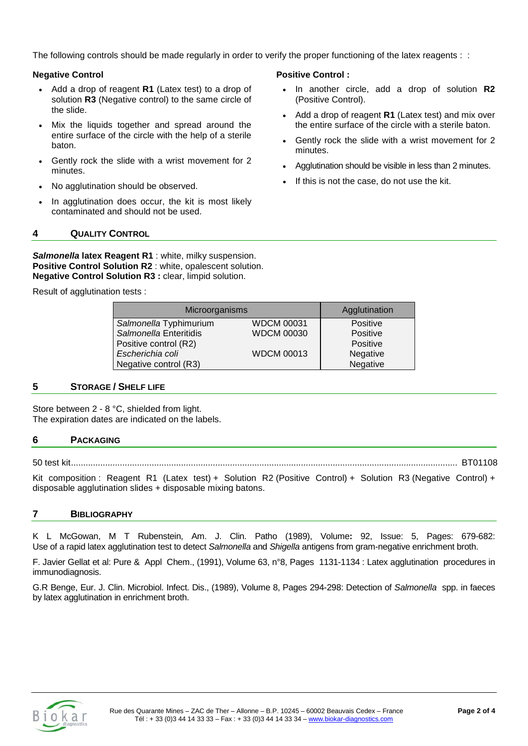The following controls should be made regularly in order to verify the proper functioning of the latex reagents : :

## **Negative Control**

- Add a drop of reagent **R1** (Latex test) to a drop of solution **R3** (Negative control) to the same circle of the slide.
- Mix the liquids together and spread around the entire surface of the circle with the help of a sterile baton.
- Gently rock the slide with a wrist movement for 2 minutes.
- No agglutination should be observed.
- In agglutination does occur, the kit is most likely contaminated and should not be used.

## **4 QUALITY CONTROL**

*Salmonella* **latex Reagent R1** : white, milky suspension. **Positive Control Solution R2** : white, opalescent solution. **Negative Control Solution R3 :** clear, limpid solution.

Result of agglutination tests :

| Microorganisms         |                   | Agglutination |
|------------------------|-------------------|---------------|
| Salmonella Typhimurium | <b>WDCM 00031</b> | Positive      |
| Salmonella Enteritidis | <b>WDCM 00030</b> | Positive      |
| Positive control (R2)  |                   | Positive      |
| Escherichia coli       | <b>WDCM 00013</b> | Negative      |
| Negative control (R3)  |                   | Negative      |

#### **5 STORAGE / SHELF LIFE**

Store between 2 - 8 °C, shielded from light. The expiration dates are indicated on the labels.

#### **6 PACKAGING**

50 test kit.............................................................................................................................................................. BT01108

Kit composition : Reagent R1 (Latex test) + Solution R2 (Positive Control) + Solution R3 (Negative Control) + disposable agglutination slides + disposable mixing batons.

## **7 BIBLIOGRAPHY**

K L McGowan, M T Rubenstein, Am. J. Clin. Patho (1989), Volume**:** 92, Issue: 5, Pages: 679-682: Use of a rapid latex agglutination test to detect *Salmonella* and *Shigella* antigens from gram-negative enrichment broth.

F. Javier Gellat et al: Pure & Appl Chem., (1991), Volume 63, n°8, Pages 1131-1134 : Latex agglutination procedures in immunodiagnosis.

G.R Benge, Eur. J. Clin. Microbiol. Infect. Dis., (1989), Volume 8, Pages 294-298: Detection of *Salmonella* spp. in faeces by latex agglutination in enrichment broth.



#### **Positive Control :**

- In another circle, add a drop of solution **R2** (Positive Control).
- Add a drop of reagent **R1** (Latex test) and mix over the entire surface of the circle with a sterile baton.
- Gently rock the slide with a wrist movement for 2 minutes.
- Agglutination should be visible in less than 2 minutes.
- If this is not the case, do not use the kit.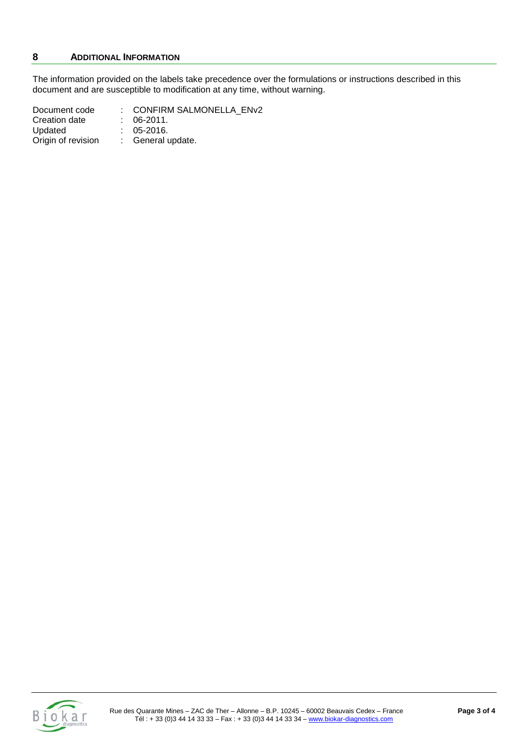# **8 ADDITIONAL INFORMATION**

The information provided on the labels take precedence over the formulations or instructions described in this document and are susceptible to modification at any time, without warning.

| Document code      | : CONFIRM SALMONELLA ENv2 |
|--------------------|---------------------------|
| Creation date      | $: 06-2011.$              |
| Updated            | $: 05-2016.$              |
| Origin of revision | : General update.         |